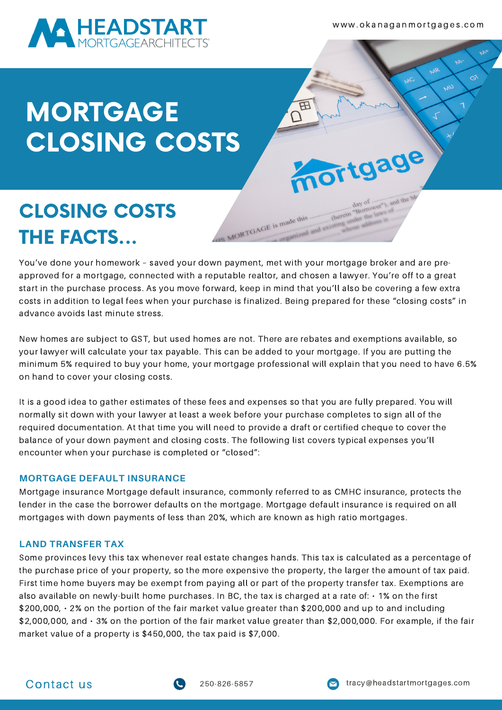

w w w . o k a n a g a n m o rt g a g e s . c o m

# MORTGAGE CLOSING COSTS

### CLOSING COSTS THE FACTS...

You've done your homework – saved your down payment, met with your mortgage broker and are preapproved for a mortgage, connected with a reputable realtor, and chosen a lawyer. You're off to a great start in the purchase process. As you move forward, keep in mind that you'll also be covering a few extra costs in addition to legal fees when your purchase is finalized. Being prepared for these "closing costs" in advance avoids last minute stress.

IS MORTGAGE is made this

B

mortgage

New homes are subject to GST, but used homes are not. There are rebates and exemptions available, so your lawyer will calculate your tax payable. This can be added to your mortgage. If you are putting the minimum 5% required to buy your home, your mortgage professional will explain that you need to have 6.5% on hand to cover your closing costs.

It is a good idea to gather estimates of these fees and expenses so that you are fully prepared. You will normally sit down with your lawyer at least a week before your purchase completes to sign all of the required documentation. At that time you will need to provide a draft or certified cheque to cover the balance of your down payment and closing costs. The following list covers typical expenses you'll encounter when your purchase is completed or "closed":

### **MORTGAGE DEFAULT INSURANCE**

Mortgage insurance Mortgage default insurance, commonly referred to as CMHC insurance, protects the lender in the case the borrower defaults on the mortgage. Mortgage default insurance is required on all mortgages with down payments of less than 20%, which are known as high ratio mortgages.

### **LAND TRANSFER TAX**

Some provinces levy this tax whenever real estate changes hands. This tax is calculated as a percentage of the purchase price of your property, so the more expensive the property, the larger the amount of tax paid. First time home buyers may be exempt from paying all or part of the property transfer tax. Exemptions are also available on newly-built home purchases. In BC, the tax is charged at a rate of: • 1% on the first \$200,000, • 2% on the portion of the fair market value greater than \$200,000 and up to and including \$2,000,000, and • 3% on the portion of the fair market value greater than \$2,000,000. For example, if the fair market value of a property is \$450,000, the tax paid is \$7,000.

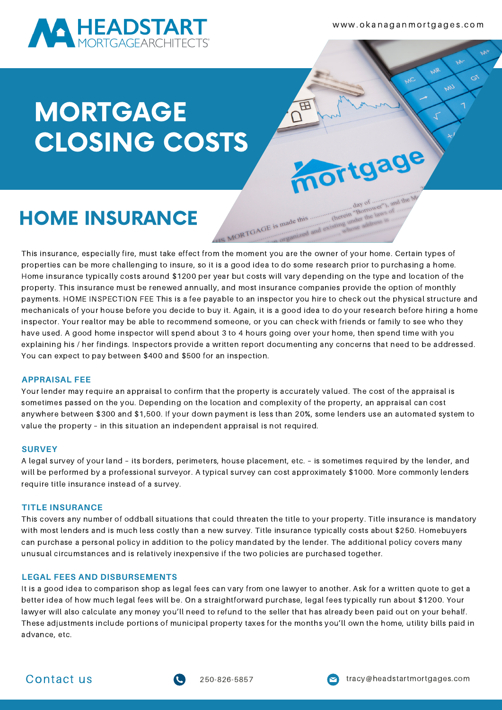

w w w . o k a n a g a n m o rt g a g e s . c o m

# MORTGAGE CLOSING COSTS

## HOME INSURANCE

This insurance, especially fire, must take effect from the moment you are the owner of your home. Certain types of properties can be more challenging to insure, so it is a good idea to do some research prior to purchasing a home. Home insurance typically costs around \$1200 per year but costs will vary depending on the type and location of the property. This insurance must be renewed annually, and most insurance companies provide the option of monthly payments. HOME INSPECTION FEE This is a fee payable to an inspector you hire to check out the physical structure and mechanicals of your house before you decide to buy it. Again, it is a good idea to do your research before hiring a home inspector. Your realtor may be able to recommend someone, or you can check with friends or family to see who they have used. A good home inspector will spend about 3 to 4 hours going over your home, then spend time with you explaining his / her findings. Inspectors provide a written report documenting any concerns that need to be addressed. You can expect to pay between \$400 and \$500 for an inspection.

IS MORTGAGE is made this

 $\overline{\mathbf{B}}$ 

mortgage

 $AaV$ (herein "Borroy")<br>(herein "Borroy")

#### **APPRAISAL FEE**

Your lender may require an appraisal to confirm that the property is accurately valued. The cost of the appraisal is sometimes passed on the you. Depending on the location and complexity of the property, an appraisal can cost anywhere between \$300 and \$1,500. If your down payment is less than 20%, some lenders use an automated system to value the property – in this situation an independent appraisal is not required.

#### **SURVEY**

A legal survey of your land – its borders, perimeters, house placement, etc. – is sometimes required by the lender, and will be performed by a professional surveyor. A typical survey can cost approximately \$1000. More commonly lenders require title insurance instead of a survey.

#### **TITLE INSURANCE**

This covers any number of oddball situations that could threaten the title to your property. Title insurance is mandatory with most lenders and is much less costly than a new survey. Title insurance typically costs about \$250. Homebuyers can purchase a personal policy in addition to the policy mandated by the lender. The additional policy covers many unusual circumstances and is relatively inexpensive if the two policies are purchased together.

#### **LEGAL FEES AND DISBURSEMENTS**

It is a good idea to comparison shop as legal fees can vary from one lawyer to another. Ask for a written quote to get a better idea of how much legal fees will be. On a straightforward purchase, legal fees typically run about \$1200. Your lawyer will also calculate any money you'll need to refund to the seller that has already been paid out on your behalf. These adjustments include portions of municipal property taxes for the months you'll own the home, utility bills paid in advance, etc.



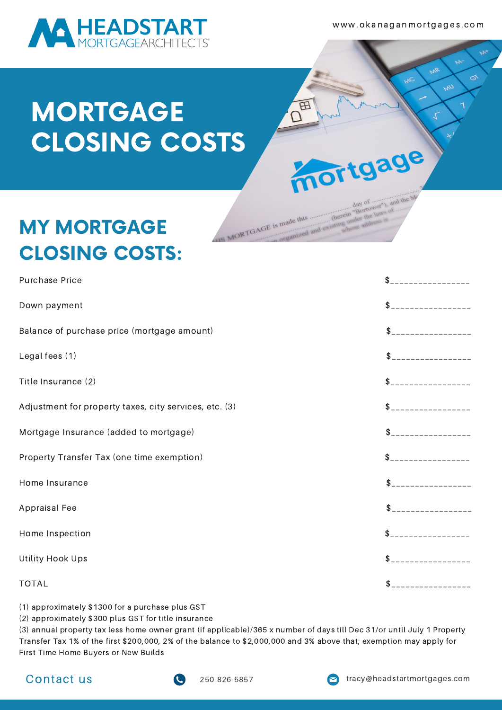

www.okanaganmortgages.com

E

IS MORTGAGE is made this

mortgage

day of<br>(herein "Borrowe")<br>(herein "Borrowe") day

# MORTGAGE CLOSING COSTS

### MY MORTGAGE CLOSING COSTS:

| Purchase Price                                         | \$                                     |
|--------------------------------------------------------|----------------------------------------|
| Down payment                                           | \$<br><u> 1999 - Johann Barnett, p</u> |
| Balance of purchase price (mortgage amount)            | \$                                     |
| Legal fees (1)                                         | \$<br>__________________               |
| Title Insurance (2)                                    | $\mathsf{\$}$ ___________________      |
| Adjustment for property taxes, city services, etc. (3) | $\mathsf{\$}$ ___________________      |
| Mortgage Insurance (added to mortgage)                 | $\mathsf{\$}$ ___________________      |
| Property Transfer Tax (one time exemption)             | $\mathsf{\$}$ ___________________      |
| Home Insurance                                         | $$$ ___________________                |
| Appraisal Fee                                          |                                        |
| Home Inspection                                        |                                        |
| Utility Hook Ups                                       | \$                                     |
| <b>TOTAL</b>                                           | $S$ ___________________                |

(1) approximately \$1300 for a purchase plus GST

(2) approximately \$300 plus GST for title insurance

(3) annual property tax less home owner grant (if applicable)/365 x number of days till Dec 31/or until July 1 Property Transfer Tax 1% of the first \$200,000, 2% of the balance to \$2,000,000 and 3% above that; exemption may apply for First Time Home Buyers or New Builds